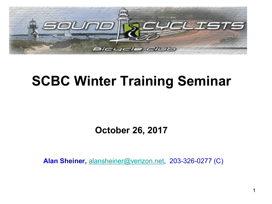

## **SCBC Winter Training Seminar**

**October 26, 2017**

**Alan Sheiner,** alansheiner@verizon.net, 203-326-0277 (C)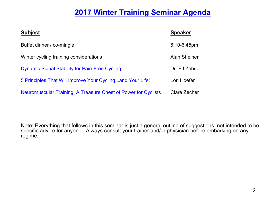#### **2017 Winter Training Seminar Agenda**

| <b>Subject</b>                                                 | <b>Speaker</b>      |
|----------------------------------------------------------------|---------------------|
| Buffet dinner / co-mingle                                      | $6:10 - 6:45$ pm    |
| Winter cycling training considerations                         | <b>Alan Sheiner</b> |
| <b>Dynamic Spinal Stability for Pain-Free Cycling</b>          | Dr. EJ Zebro        |
| 5 Principles That Will Improve Your Cyclingand Your Life!      | Lori Hoefer         |
| Neuromuscular Training: A Treasure Chest of Power for Cyclists | Clare Zecher        |

Note: Everything that follows in this seminar is just a general outline of suggestions, not intended to be specific advice for anyone. Always consult your trainer and/or physician before embarking on any regime.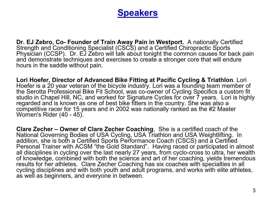#### **Speakers**

**Dr. EJ Zebro, Co- Founder of Train Away Pain in Westport.** A nationally Certified Strength and Conditioning Specialist (CSCS) and a Certified Chiropractic Sports Physician (CCSP). Dr. EJ Zebro will talk about tonight the common causes for back pain and demonstrate techniques and exercises to create a stronger core that will endure hours in the saddle without pain.

**Lori Hoefer, Director of Advanced Bike Fitting at Pacific Cycling & Triathlon**. Lori Hoefer is a 20 year veteran of the bicycle industry. Lori was a founding team member of the Serotta Professional Bike Fit School, was co-owner of Cycling Specifics a custom fit studio in Chapel Hill, NC, and worked for Signature Cycles for over 7 years. Lori is highly regarded and is known as one of best bike fitters in the country. She was also a competitive racer for 15 years and in 2002 was nationally ranked as the #2 Master Women's Rider (40 - 45).

**Clare Zecher – Owner of Clare Zecher Coaching**. She is a certified coach of the National Governing Bodies of USA Cycling, USA Triathlon and USA Weightlifting. In addition, she is both a Certified Sports Performance Coach (CSCS) and a Certified Personal Trainer with ACSM "the Gold Standard". Having raced or participated in almost all disciplines in cycling over the last nearly 27 years, from cyclo-cross to ultra, her wealth of knowledge, combined with both the science and art of her coaching, yields tremendous results for her athletes. Clare Zecher Coaching has six coaches with specialties in all cycling disciplines and with both youth and adult programs, and works with elite athletes, as well as beginners, and everyone in between.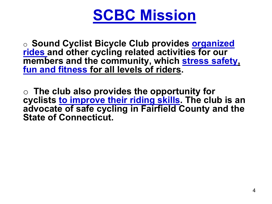# **SCBC Mission**

o **Sound Cyclist Bicycle Club provides organized rides and other cycling related activities for our members and the community, which stress safety, fun and fitness for all levels of riders.** 

o **The club also provides the opportunity for cyclists to improve their riding skills. The club is an advocate of safe cycling in Fairfield County and the State of Connecticut.**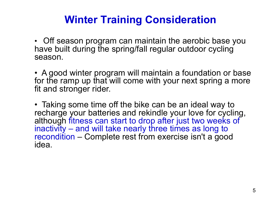## **Winter Training Consideration**

• Off season program can maintain the aerobic base you have built during the spring/fall regular outdoor cycling season.

• A good winter program will maintain a foundation or base for the ramp up that will come with your next spring a more fit and stronger rider.

• Taking some time off the bike can be an ideal way to recharge your batteries and rekindle your love for cycling, although fitness can start to drop after just two weeks of inactivity – and will take nearly three times as long to recondition – Complete rest from exercise isn't a good idea.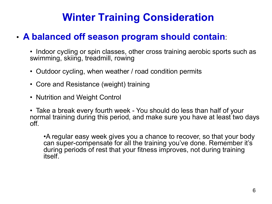## **Winter Training Consideration**

### • **A balanced off season program should contain**:

- Indoor cycling or spin classes, other cross training aerobic sports such as swimming, skiing, treadmill, rowing
- Outdoor cycling, when weather / road condition permits
- Core and Resistance (weight) training
- Nutrition and Weight Control
- Take a break every fourth week You should do less than half of your normal training during this period, and make sure you have at least two days off.

•A regular easy week gives you a chance to recover, so that your body can super-compensate for all the training you've done. Remember it's during periods of rest that your fitness improves, not during training itself.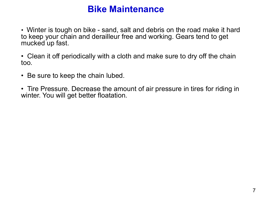### **Bike Maintenance**

• Winter is tough on bike - sand, salt and debris on the road make it hard to keep your chain and derailleur free and working. Gears tend to get mucked up fast.

• Clean it off periodically with a cloth and make sure to dry off the chain too.

- Be sure to keep the chain lubed.
- Tire Pressure. Decrease the amount of air pressure in tires for riding in winter. You will get better floatation.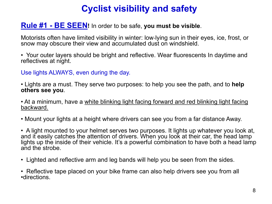## **Cyclist visibility and safety**

#### **Rule #1 - BE SEEN!** In order to be safe, **you must be visible**.

Motorists often have limited visibility in winter: low-lying sun in their eyes, ice, frost, or snow may obscure their view and accumulated dust on windshield.

• Your outer layers should be bright and reflective. Wear fluorescents In daytime and reflectives at night.

Use lights ALWAYS, even during the day.

• Lights are a must. They serve two purposes: to help you see the path, and to **help others see you**.

• At a minimum, have a white blinking light facing forward and red blinking light facing backward.

• Mount your lights at a height where drivers can see you from a far distance Away.

• A light mounted to your helmet serves two purposes. It lights up whatever you look at, and it easily catches the attention of drivers. When you look at their car, the head lamp lights up the inside of their vehicle. It's a powerful combination to have both a head lamp and the strobe.

- Lighted and reflective arm and leg bands will help you be seen from the sides.
- Reflective tape placed on your bike frame can also help drivers see you from all •directions.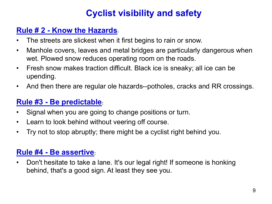## **Cyclist visibility and safety**

#### **Rule # 2 - Know the Hazards:**

- The streets are slickest when it first begins to rain or snow.
- Manhole covers, leaves and metal bridges are particularly dangerous when wet. Plowed snow reduces operating room on the roads.
- Fresh snow makes traction difficult. Black ice is sneaky; all ice can be upending.
- And then there are regular ole hazards--potholes, cracks and RR crossings.

#### **Rule #3 - Be predictable:**

- Signal when you are going to change positions or turn.
- Learn to look behind without veering off course.
- Try not to stop abruptly; there might be a cyclist right behind you.

#### **Rule #4 - Be assertive:**

• Don't hesitate to take a lane. It's our legal right! If someone is honking behind, that's a good sign. At least they see you.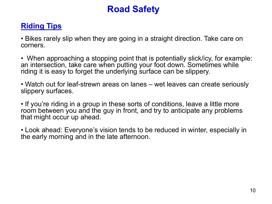## **Road Safety**

#### **Riding Tips**

• Bikes rarely slip when they are going in a straight direction. Take care on corners.

• When approaching a stopping point that is potentially slick/icy, for example: an intersection, take care when putting your foot down. Sometimes while riding it is easy to forget the underlying surface can be slippery.

• Watch out for leaf-strewn areas on lanes – wet leaves can create seriously slippery surfaces.

• If you're riding in a group in these sorts of conditions, leave a little more room between you and the guy in front, and try to anticipate any problems that might occur up ahead.

• Look ahead: Everyone's vision tends to be reduced in winter, especially in the early morning and in the late afternoon.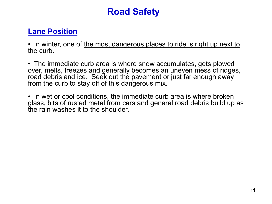## **Road Safety**

#### **Lane Position**

• In winter, one of the most dangerous places to ride is right up next to the curb.

• The immediate curb area is where snow accumulates, gets plowed over, melts, freezes and generally becomes an uneven mess of ridges, road debris and ice. Seek out the pavement or just far enough away from the curb to stay off of this dangerous mix.

• In wet or cool conditions, the immediate curb area is where broken glass, bits of rusted metal from cars and general road debris build up as the rain washes it to the shoulder.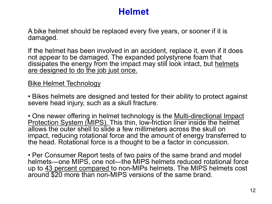## **Helmet**

A bike helmet should be replaced every five years, or sooner if it is damaged.

If the helmet has been involved in an accident, replace it, even if it does not appear to be damaged. The expanded polystyrene foam that dissipates the energy from the impact may still look intact, but helmets are designed to do the job just once.

#### Bike Helmet Technology

• Bikes helmets are designed and tested for their ability to protect against severe head injury, such as a skull fracture.

• One newer offering in helmet technology is the Multi-directional Impact Protection System (MIPS). This thin, low-friction liner inside the helmet allows the outer shell to slide a few millimeters across the skull on impact, reducing rotational force and the amount of energy transferred to the head. Rotational force is a thought to be a factor in concussion.

• Per Consumer Report tests of two pairs of the same brand and model helmets—one MIPS, one not—the MIPS helmets reduced rotational force up to 43 percent compared to non-MIPs helmets. The MIPS helmets cost around \$20 more than non-MIPS versions of the same brand.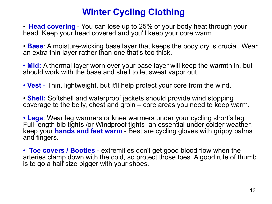## **Winter Cycling Clothing**

• **Head covering** - You can lose up to 25% of your body heat through your head. Keep your head covered and you'll keep your core warm.

• **Base**: A moisture-wicking base layer that keeps the body dry is crucial. Wear an extra thin layer rather than one that's too thick.

• **Mid:** A thermal layer worn over your base layer will keep the warmth in, but should work with the base and shell to let sweat vapor out.

• **Vest** - Thin, lightweight, but it'll help protect your core from the wind.

• **Shell:** Softshell and waterproof jackets should provide wind stopping coverage to the belly, chest and groin – core areas you need to keep warm.

• **Legs**: Wear leg warmers or knee warmers under your cycling short's leg. Full-length bib tights /or Windproof tights an essential under colder weather. keep your **hands and feet warm** - Best are cycling gloves with grippy palms and fingers.

• **Toe covers / Booties** - extremities don't get good blood flow when the arteries clamp down with the cold, so protect those toes. A good rule of thumb is to go a half size bigger with your shoes.